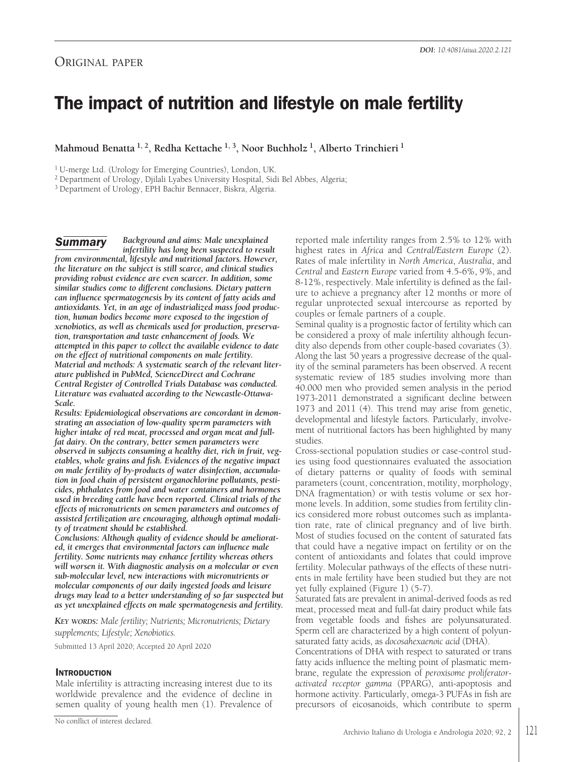# The impact of nutrition and lifestyle on male fertility

**Mahmoud Benatta 1, 2, Redha Kettache 1, 3, Noor Buchholz 1, Alberto Trinchieri <sup>1</sup>**

<sup>1</sup> U-merge Ltd. (Urology for Emerging Countries), London, UK.

<sup>2</sup> Department of Urology, Djilali Lyabes University Hospital, Sidi Bel Abbes, Algeria;

<sup>3</sup> Department of Urology, EPH Bachir Bennacer, Biskra, Algeria.

*Background and aims: Male unexplained infertility has long been suspected to result from environmental, lifestyle and nutritional factors. However, the literature on the subject is still scarce, and clinical studies providing robust evidence are even scarcer. In addition, some similar studies come to different conclusions. Dietary pattern can influence spermatogenesis by its content of fatty acids and antioxidants. Yet, in an age of industrialized mass food production, human bodies become more exposed to the ingestion of xenobiotics, as well as chemicals used for production, preservation, transportation and taste enhancement of foods. We attempted in this paper to collect the available evidence to date on the effect of nutritional components on male fertility. Material and methods: A systematic search of the relevant literature published in PubMed, ScienceDirect and Cochrane Central Register of Controlled Trials Database was conducted. Literature was evaluated according to the Newcastle-Ottawa-Scale.* **Summary** 

*Results: Epidemiological observations are concordant in demonstrating an association of low-quality sperm parameters with higher intake of red meat, processed and organ meat and fullfat dairy. On the contrary, better semen parameters were observed in subjects consuming a healthy diet, rich in fruit, vegetables, whole grains and fish. Evidences of the negative impact on male fertility of by-products of water disinfection, accumulation in food chain of persistent organochlorine pollutants, pesticides, phthalates from food and water containers and hormones used in breeding cattle have been reported. Clinical trials of the effects of micronutrients on semen parameters and outcomes of assisted fertilization are encouraging, although optimal modality of treatment should be established.*

*Conclusions: Although quality of evidence should be ameliorated, it emerges that environmental factors can influence male fertility. Some nutrients may enhance fertility whereas others will worsen it. With diagnostic analysis on a molecular or even sub-molecular level, new interactions with micronutrients or molecular components of our daily ingested foods and leisure drugs may lead to a better understanding of so far suspected but as yet unexplained effects on male spermatogenesis and fertility.*

*KEY WORDS: Male fertility; Nutrients; Micronutrients; Dietary supplements; Lifestyle; Xenobiotics.*

Submitted 13 April 2020; Accepted 20 April 2020

# **INTRODUCTION**

Male infertility is attracting increasing interest due to its worldwide prevalence and the evidence of decline in semen quality of young health men (1). Prevalence of reported male infertility ranges from 2.5% to 12% with highest rates in *Africa* and *Central/Eastern Europe* (2). Rates of male infertility in *North America*, *Australia*, and *Central* and *Eastern Europe* varied from 4.5-6%, 9%, and 8-12%, respectively. Male infertility is defined as the failure to achieve a pregnancy after 12 months or more of regular unprotected sexual intercourse as reported by couples or female partners of a couple.

Seminal quality is a prognostic factor of fertility which can be considered a proxy of male infertility although fecundity also depends from other couple-based covariates (3). Along the last 50 years a progressive decrease of the quality of the seminal parameters has been observed. A recent systematic review of 185 studies involving more than 40.000 men who provided semen analysis in the period 1973-2011 demonstrated a significant decline between 1973 and 2011 (4). This trend may arise from genetic, developmental and lifestyle factors. Particularly, involvement of nutritional factors has been highlighted by many studies.

Cross-sectional population studies or case-control studies using food questionnaires evaluated the association of dietary patterns or quality of foods with seminal parameters (count, concentration, motility, morphology, DNA fragmentation) or with testis volume or sex hormone levels. In addition, some studies from fertility clinics considered more robust outcomes such as implantation rate, rate of clinical pregnancy and of live birth. Most of studies focused on the content of saturated fats that could have a negative impact on fertility or on the content of antioxidants and folates that could improve fertility. Molecular pathways of the effects of these nutrients in male fertility have been studied but they are not yet fully explained (Figure 1) (5-7).

Saturated fats are prevalent in animal-derived foods as red meat, processed meat and full-fat dairy product while fats from vegetable foods and fishes are polyunsaturated. Sperm cell are characterized by a high content of polyunsaturated fatty acids, as *docosahexaenoic acid* (DHA).

Concentrations of DHA with respect to saturated or trans fatty acids influence the melting point of plasmatic membrane, regulate the expression of *peroxisome proliferatoractivated receptor gamma* (PPARG), anti-apoptosis and hormone activity. Particularly, omega-3 PUFAs in fish are precursors of eicosanoids, which contribute to sperm

No conflict of interest declared.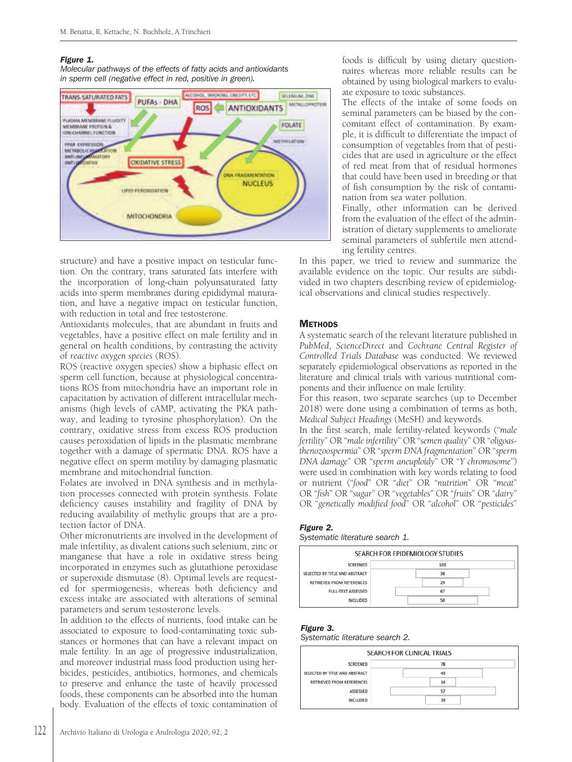#### Figure 1.

Molecular pathways of the effects of fatty acids and antioxidants in sperm cell (negative effect in red, positive in green).



structure) and have a positive impact on testicular function. On the contrary, trans saturated fats interfere with the incorporation of long-chain polyunsaturated fatty acids into sperm membranes during epididymal maturation, and have a negative impact on testicular function, with reduction in total and free testosterone.

Antioxidants molecules, that are abundant in fruits and vegetables, have a positive effect on male fertility and in general on health conditions, by contrasting the activity of *reactive oxygen species* (ROS).

ROS (reactive oxygen species) show a biphasic effect on sperm cell function, because at physiological concentrations ROS from mitochondria have an important role in capacitation by activation of different intracellular mechanisms (high levels of cAMP, activating the PKA pathway, and leading to tyrosine phosphorylation). On the contrary, oxidative stress from excess ROS production causes peroxidation of lipids in the plasmatic membrane together with a damage of spermatic DNA. ROS have a negative effect on sperm motility by damaging plasmatic membrane and mitochondrial function.

Folates are involved in DNA synthesis and in methylation processes connected with protein synthesis. Folate deficiency causes instability and fragility of DNA by reducing availability of methylic groups that are a protection factor of DNA.

Other micronutrients are involved in the development of male infertility, as divalent cations such selenium, zinc or manganese that have a role in oxidative stress being incorporated in enzymes such as glutathione peroxidase or superoxide dismutase (8). Optimal levels are requested for spermiogenesis, whereas both deficiency and excess intake are associated with alterations of seminal parameters and serum testosterone levels.

In addition to the effects of nutrients, food intake can be associated to exposure to food-contaminating toxic substances or hormones that can have a relevant impact on male fertility. In an age of progressive industrialization, and moreover industrial mass food production using herbicides, pesticides, antibiotics, hormones, and chemicals to preserve and enhance the taste of heavily processed foods, these components can be absorbed into the human body. Evaluation of the effects of toxic contamination of

foods is difficult by using dietary questionnaires whereas more reliable results can be obtained by using biological markers to evaluate exposure to toxic substances.

The effects of the intake of some foods on seminal parameters can be biased by the concomitant effect of contamination. By example, it is difficult to differentiate the impact of consumption of vegetables from that of pesticides that are used in agriculture or the effect of red meat from that of residual hormones that could have been used in breeding or that of fish consumption by the risk of contamination from sea water pollution.

Finally, other information can be derived from the evaluation of the effect of the administration of dietary supplements to ameliorate seminal parameters of subfertile men attending fertility centres.

In this paper, we tried to review and summarize the available evidence on the topic. Our results are subdivided in two chapters describing review of epidemiological observations and clinical studies respectively.

# **METHODS**

A systematic search of the relevant literature published in *PubMed*, *ScienceDirect* and *Cochrane Central Register of Controlled Trials Database* was conducted. We reviewed separately epidemiological observations as reported in the literature and clinical trials with various nutritional components and their influence on male fertility.

For this reason, two separate searches (up to December 2018) were done using a combination of terms as both, *Medical Subject Headings* (MeSH) and keywords.

In the first search, male fertility-related keywords ("*male fertility*" OR "*maleinfertility*" OR "*semen quality*" OR "*oligoasthenozoospermia*" OR "*sperm DNA fragmentation*" OR "*sperm DNA damage*" OR "*sperm aneuploidy*" OR "*Y chromosome*") were used in combination with key words relating to food or nutrient ("*food*" OR "*diet*" OR "*nutrition*" OR "*meat*" OR "*fish*" OR "*sugar*" OR "*vegetables*" OR "*fruits*" OR "*dairy*" OR "*genetically modified food*" OR "*alcohol*" OR "*pesticides*"

# Figure 2.

Systematic literature search 1.

|                                                         |    | SEARCH FOR EPIDEMIOLOGY STUDIES |  |
|---------------------------------------------------------|----|---------------------------------|--|
| and with a first contact the channel<br><b>SCREENED</b> |    | 103                             |  |
| SELECTED BY TITLE AND ABSTRACT                          |    | 38                              |  |
| <b>RETRIEVED FROM REFERENCES</b>                        |    |                                 |  |
| <b>FULL-TEXT ASSESSED</b>                               | 67 |                                 |  |
| <b>INCLUDED</b>                                         |    | 50                              |  |

# Figure 3.

Systematic literature search 2.

|                                | SEARCH FOR CLINICAL TRIALS |  |
|--------------------------------|----------------------------|--|
| SCREENED                       | 78                         |  |
| SELECTED BY TITLE AND ABSTRACT | 43                         |  |
| RETRIEVED FROM REFERENCES      | 14                         |  |
| ASSESSED                       | 57                         |  |
| <b>INCLUDED</b>                | 19                         |  |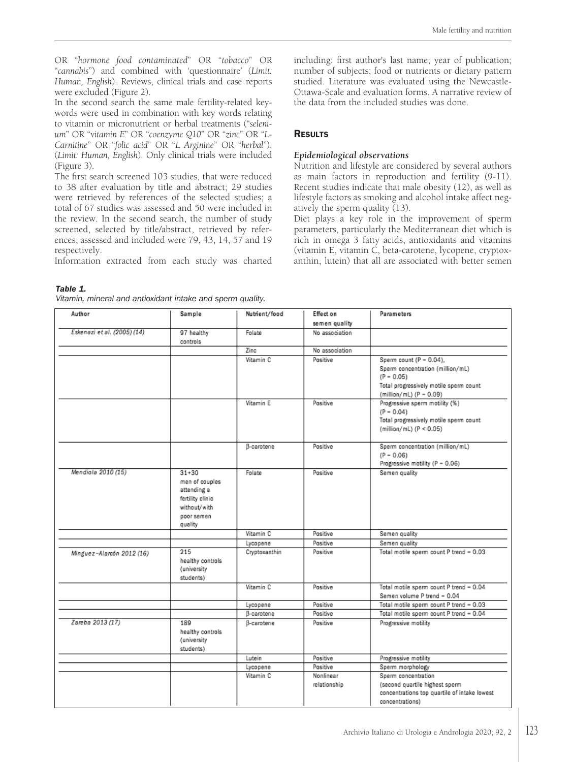OR "*hormone food contaminated*" OR "*tobacco*" OR "*cannabis*") and combined with 'questionnaire' (*Limit: Human, English*). Reviews, clinical trials and case reports were excluded (Figure 2).

In the second search the same male fertility-related keywords were used in combination with key words relating to vitamin or micronutrient or herbal treatments ("*selenium*" OR "*vitamin E*" OR "*coenzyme Q10*" OR "*zinc*" OR "*L-Carnitine*" OR "*folic acid*" OR "*L Arginine*" OR "*herbal*"). (*Limit: Human, English*). Only clinical trials were included (Figure 3).

The first search screened 103 studies, that were reduced to 38 after evaluation by title and abstract; 29 studies were retrieved by references of the selected studies; a total of 67 studies was assessed and 50 were included in the review. In the second search, the number of study screened, selected by title/abstract, retrieved by references, assessed and included were 79, 43, 14, 57 and 19 respectively.

Information extracted from each study was charted

including: first author's last name; year of publication; number of subjects; food or nutrients or dietary pattern studied. Literature was evaluated using the Newcastle-Ottawa-Scale and evaluation forms. A narrative review of the data from the included studies was done.

# **RESULTS**

# *Epidemiological observations*

Nutrition and lifestyle are considered by several authors as main factors in reproduction and fertility (9-11). Recent studies indicate that male obesity (12), as well as lifestyle factors as smoking and alcohol intake affect negatively the sperm quality (13).

Diet plays a key role in the improvement of sperm parameters, particularly the Mediterranean diet which is rich in omega 3 fatty acids, antioxidants and vitamins (vitamin E, vitamin C, beta-carotene, lycopene, cryptoxanthin, lutein) that all are associated with better semen

| Author                      | Sample                                                                                                  | Nutrient/food | Effect on                 | Parameters                                                                                                                                          |
|-----------------------------|---------------------------------------------------------------------------------------------------------|---------------|---------------------------|-----------------------------------------------------------------------------------------------------------------------------------------------------|
|                             |                                                                                                         |               | semen quality             |                                                                                                                                                     |
| Eskenazi et al. (2005) (14) | 97 healthy<br>controls                                                                                  | Folate        | No association            |                                                                                                                                                     |
|                             |                                                                                                         | Zine          | No association            |                                                                                                                                                     |
|                             |                                                                                                         | Vitamin C     | Positive                  | Sperm count $(P = 0.04)$ ,<br>Sperm concentration (million/mL)<br>$(P - 0.05)$<br>Total progressively motile sperm count<br>(million/mL) (P = 0.09) |
|                             |                                                                                                         | Vitamin E     | Positive                  | Progressive sperm motility (%)<br>$(P - 0.04)$<br>Total progressively motile sperm count<br>(million/mL) (P < 0.05)                                 |
|                             |                                                                                                         | B-carotene    | Positive                  | Sperm concentration (million/mL)<br>$(P - 0.06)$<br>Progressive motility (P = 0.06)                                                                 |
| Mendiola 2010 (15)          | $31 + 30$<br>men of couples<br>attending a<br>fertility clinic<br>without/with<br>poor semen<br>quality | Folate        | Positive                  | Semen quality                                                                                                                                       |
|                             |                                                                                                         | Vitamin C     | Positive                  | Semen quality                                                                                                                                       |
|                             |                                                                                                         | Lycopene      | Positive                  | Semen quality                                                                                                                                       |
| Minguez-Alarcón 2012 (16)   | 215<br>healthy controls<br>(university<br>students)                                                     | Cryptoxanthin | Positive                  | Total motile sperm count P trend = 0.03                                                                                                             |
|                             |                                                                                                         | Vitamin C     | Positive                  | Total motile sperm count P trend = 0.04<br>Semen volume P trend = 0.04                                                                              |
|                             |                                                                                                         | Lycopene      | Positive                  | Total motile sperm count P trend - 0.03                                                                                                             |
|                             |                                                                                                         | B-carotene    | Positive                  | Total motile sperm count P trend = 0.04                                                                                                             |
| Zareba 2013 (17)            | 189<br>healthy controls<br>(university<br>students)                                                     | B-carotene    | Positive                  | Progressive motility                                                                                                                                |
|                             |                                                                                                         | Lutein        | Positive                  | Progressive motility                                                                                                                                |
|                             |                                                                                                         | Lycopene      | Positive                  | Sperm morphology                                                                                                                                    |
|                             |                                                                                                         | Vitamin C     | Nonlinear<br>relationship | Sperm concentration<br>(second quartile highest sperm<br>concentrations top quartile of intake lowest<br>concentrations)                            |

Table 1. Vitamin, mineral and antioxidant intake and sperm quality.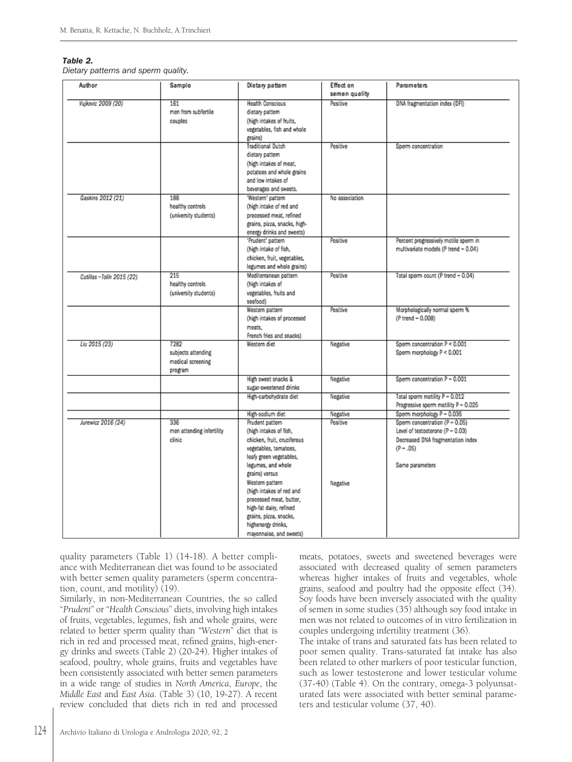#### Table 2.

Dietary patterns and sperm quality.

| Author                     | Sample                                                     | Dietary pattern                                                                                                                                                                                                                                                                                                                               | Effect on<br>semen quality       | <b>Parameters</b>                                                                                                                                                       |
|----------------------------|------------------------------------------------------------|-----------------------------------------------------------------------------------------------------------------------------------------------------------------------------------------------------------------------------------------------------------------------------------------------------------------------------------------------|----------------------------------|-------------------------------------------------------------------------------------------------------------------------------------------------------------------------|
| Vujkovic 2009 (20)         | 161<br>men from subfertile<br>couples                      | <b>Health Conscious</b><br>dietary pattern<br>(high intakes of fruits,<br>vegetables, fish and whole<br>grains)                                                                                                                                                                                                                               | Positive                         | DNA fragmentation index (DFI)                                                                                                                                           |
|                            |                                                            | <b>Traditional Dutch</b><br>dietary pattern<br>(high intakes of meat,<br>potatoes and whole grains<br>and low intakes of<br>beverages and sweets.                                                                                                                                                                                             | Positive                         | Sperm concentration                                                                                                                                                     |
| Gaskins 2012 (21)          | 188<br>healthy controls<br>(university students)           | 'Western' pattern<br>(high intake of red and<br>processed meat, refined<br>grains, pizza, snacks, high-<br>energy drinks and sweets)                                                                                                                                                                                                          | No association                   |                                                                                                                                                                         |
|                            |                                                            | 'Prudent' pattern<br>(high intake of fish,<br>chicken, fruit, vegetables,<br>legumes and whole grains)                                                                                                                                                                                                                                        | Positive                         | Percent progressively motile sperm in<br>multivariate models (P trend = 0.04)                                                                                           |
| Cutillas - Tolín 2015 (22) | 215<br>healthy controls<br>(university students)           | Mediterranean pattern<br>(high intakes of<br>vegetables, fruits and<br>seafood)                                                                                                                                                                                                                                                               | Positive                         | Total sperm count (P trend - 0.04)                                                                                                                                      |
|                            |                                                            | Western pattern<br>(high intakes of processed<br>meats.<br>French fries and snacks)                                                                                                                                                                                                                                                           | Positive                         | Morphologically normal sperm %<br>(P trend = 0.008)                                                                                                                     |
| Liu 2015 (23)              | 7282<br>subjects attending<br>medical screening<br>program | Western diet                                                                                                                                                                                                                                                                                                                                  | Negative                         | Sperm concentration P < 0.001<br>Sperm morphology P < 0.001                                                                                                             |
|                            |                                                            | High sweet snacks &<br>sugar-sweetened drinks                                                                                                                                                                                                                                                                                                 | Negative                         | Sperm concentration P = 0.001                                                                                                                                           |
|                            |                                                            | High-carbohydrate diet                                                                                                                                                                                                                                                                                                                        | Negative                         | Total sperm motility P = 0.012<br>Progressive sperm motility P = 0.025                                                                                                  |
| Jurewicz 2016 (24)         | 336<br>men attending infertility<br>clinic                 | High-sodium diet<br>Prudent pattern<br>(high intakes of fish,<br>chicken, fruit, cruciferous<br>vegetables, tomatoes,<br>leafy green vegetables,<br>legumes, and whole<br>grains) versus<br>Western pattern<br>(high intakes of red and<br>processed meat, butter,<br>high-fat dairy, refined<br>grains, pizza, snacks,<br>highenergy drinks, | Negative<br>Positive<br>Negative | Sperm morphology P = 0.035<br>Sperm concentration (P = 0.05)<br>Level of testosterone (P = 0.03)<br>Decreased DNA fragmentation index<br>$(P - .05)$<br>Same parameters |

quality parameters (Table 1) (14-18). A better compliance with Mediterranean diet was found to be associated with better semen quality parameters (sperm concentration, count, and motility) (19).

Similarly, in non-Mediterranean Countries, the so called "*Prudent*" or "*Health Conscious*" diets, involving high intakes of fruits, vegetables, legumes, fish and whole grains, were related to better sperm quality than *"Western*" diet that is rich in red and processed meat, refined grains, high-energy drinks and sweets (Table 2) (20-24). Higher intakes of seafood, poultry, whole grains, fruits and vegetables have been consistently associated with better semen parameters in a wide range of studies in *North America*, *Europe*, the *Middle East* and *East Asia*. (Table 3) (10, 19-27). A recent review concluded that diets rich in red and processed meats, potatoes, sweets and sweetened beverages were associated with decreased quality of semen parameters whereas higher intakes of fruits and vegetables, whole grains, seafood and poultry had the opposite effect (34). Soy foods have been inversely associated with the quality of semen in some studies (35) although soy food intake in men was not related to outcomes of in vitro fertilization in couples undergoing infertility treatment (36).

The intake of trans and saturated fats has been related to poor semen quality. Trans-saturated fat intake has also been related to other markers of poor testicular function, such as lower testosterone and lower testicular volume (37-40) (Table 4). On the contrary, omega-3 polyunsaturated fats were associated with better seminal parameters and testicular volume (37, 40).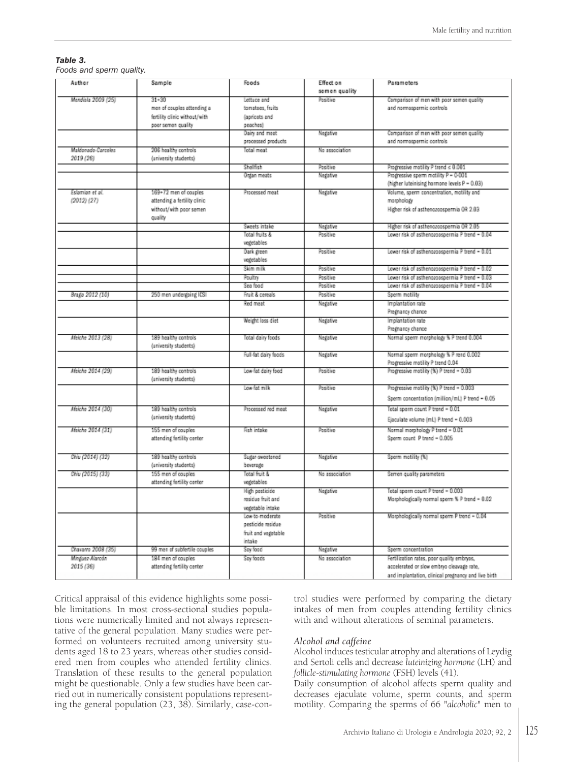# Table 3.

Foods and sperm quality.

| Author             | Sample                                        | Foods                                | Effect on      | Parameters                                                             |
|--------------------|-----------------------------------------------|--------------------------------------|----------------|------------------------------------------------------------------------|
|                    |                                               |                                      | semen quality  |                                                                        |
| Mendiala 2009 (25) | $31 - 30$                                     | Lettuce and                          | Positive       | Comparison of men with poor semen quality                              |
|                    | men of couples attending a                    | tomatoes, fruits                     |                | and normospermic controls                                              |
|                    | fertility clinic without/with                 | (apricots and                        |                |                                                                        |
|                    | poor semen quality                            | peaches)                             |                |                                                                        |
|                    |                                               | Dairy and meet<br>processed products | Negative       | Comparison of men with poor semen quality<br>and normospermic controls |
| Maldenado Carceles | 206 healthy controls                          | Total meat                           | No association |                                                                        |
| 2019 (26)          | (university students)                         |                                      |                |                                                                        |
|                    |                                               | Shellfish                            | Positive       | Progressive motility P trend $\leq 0.001$                              |
|                    |                                               | Organ meats                          | Negative       | Progressive sperm motility P = 0-001                                   |
|                    |                                               |                                      |                | (higher luteinising hormone levels P = 0.03)                           |
| Eslamian et al.    | 169+72 men of couples                         | Processed meat                       | Negative       | Volume, sperm concentration, motility and                              |
| $(2012)$ $(27)$    | attending a fertility clinic                  |                                      |                | morphology                                                             |
|                    | without/with poor semen                       |                                      |                | Higher risk of asthenozoospermia OR 2.03                               |
|                    | quality                                       |                                      |                |                                                                        |
|                    |                                               | Sweets intake                        | Negative       | Higher risk of asthenozoospermia OR 2.05                               |
|                    |                                               | Total fruits &                       | Positive       | Lower risk of asthenozoospermia P trend - 0.04                         |
|                    |                                               | vegetables                           |                |                                                                        |
|                    |                                               | Dark green                           | Positive       | Lower risk of asthenozoospermia P trend - 0.01                         |
|                    |                                               | vegetables                           |                |                                                                        |
|                    |                                               | Skim milk                            | Positive       | Lower risk of asthenozoospermia P trend - 0.02                         |
|                    |                                               | Poultry                              | Positive       | Lower risk of asthenozoospermia P trend - 0.03                         |
|                    |                                               | Sea food                             | Positive       | Lower risk of asthenozoospermia P trend - 0.04                         |
| Braga 2012 (10)    | 250 men undergoing ICSI                       | Fruit & cereals                      | Positive       | Sperm motility                                                         |
|                    |                                               | Red meat                             | Negative       | Implantation rate                                                      |
|                    |                                               |                                      |                | Pregnancy chance                                                       |
|                    |                                               | Weight loss diet                     | Negative       | Implantation rate                                                      |
|                    |                                               |                                      |                | Pregnancy chance                                                       |
| Afeiche 2013 (28)  | 189 healthy controls<br>(university students) | Total dairy foods                    | Negative       | Normal sperm morphology % P trend 0.004                                |
|                    |                                               | Full-fat dairy foods                 | Negative       | Normal sperm morphology % P rend 0.002                                 |
|                    |                                               |                                      |                | Progressive motility P trend 0.04                                      |
| Afeiche 2014 (29)  | 189 healthy controls                          | Low-fat dairy food                   | Positive       | Progressive motility (%) P trend = 0.03                                |
|                    | (university students)                         |                                      |                |                                                                        |
|                    |                                               | Low-fat milk                         | Positive       | Progressive motility (%) P trend = 0.003                               |
|                    |                                               |                                      |                | Sperm concentration (million/mL) P trend = 0.05                        |
| Afeiche 2014 (30)  | 189 healthy controls                          | Processed red meat                   | Negative       | Total sperm count P trend - 0.01                                       |
|                    | (university students)                         |                                      |                | Ejaculate volume (mL) P trend = 0.003                                  |
| Afeiche 2014 (31)  | 155 men of couples                            | Fish intake                          | Positive       | Normal morphology P trend = 0.01                                       |
|                    | attending fertility center                    |                                      |                | Sperm count P trend - 0.005                                            |
|                    |                                               |                                      |                |                                                                        |
| Chiv (2014) (32)   | 189 healthy controls                          | Sugar-sweetened                      | Negative       | Sperm motility (%)                                                     |
|                    | (university students)                         | beverage                             |                |                                                                        |
| Chiv (2015) (33)   | 155 men of couples                            | Total fruit &                        | No association | Semen quality parameters                                               |
|                    | attending fertility center                    | vegetables                           |                |                                                                        |
|                    |                                               | High pesticide                       | Negative       | Total sperm count P trend = 0.003                                      |
|                    |                                               | residue fruit and                    |                | Morphologically normal sperm % P trend - 0.02                          |
|                    |                                               | vegetable intake                     |                |                                                                        |
|                    |                                               | Low-to-moderate                      | Positive       | Morphologically normal sperm P trend = 0.04                            |
|                    |                                               | pesticide residue                    |                |                                                                        |
|                    |                                               | fruit and vegetable                  |                |                                                                        |
|                    |                                               | intake                               |                |                                                                        |
| Chavano 2008 (35)  | 99 men of subfertile couples                  | Soy food                             | Negative       | Sperm concentration                                                    |
| Minguez-Alarcón    | 184 men of couples                            | Soy foods                            | No association | Fertilization rates, poor quality embryos,                             |
| 2015 (36)          | attending fertility center                    |                                      |                | accelerated or slow embryo cleavage rate,                              |
|                    |                                               |                                      |                | and implantation, clinical pregnancy and live birth                    |

Critical appraisal of this evidence highlights some possible limitations. In most cross-sectional studies populations were numerically limited and not always representative of the general population. Many studies were performed on volunteers recruited among university students aged 18 to 23 years, whereas other studies considered men from couples who attended fertility clinics. Translation of these results to the general population might be questionable. Only a few studies have been carried out in numerically consistent populations representing the general population (23, 38). Similarly, case-control studies were performed by comparing the dietary intakes of men from couples attending fertility clinics with and without alterations of seminal parameters.

#### *Alcohol and caffeine*

Alcohol induces testicular atrophy and alterations of Leydig and Sertoli cells and decrease *luteinizing hormone* (LH) and *follicle-stimulating hormone* (FSH) levels (41).

Daily consumption of alcohol affects sperm quality and decreases ejaculate volume, sperm counts, and sperm motility. Comparing the sperms of 66 "*alcoholic*" men to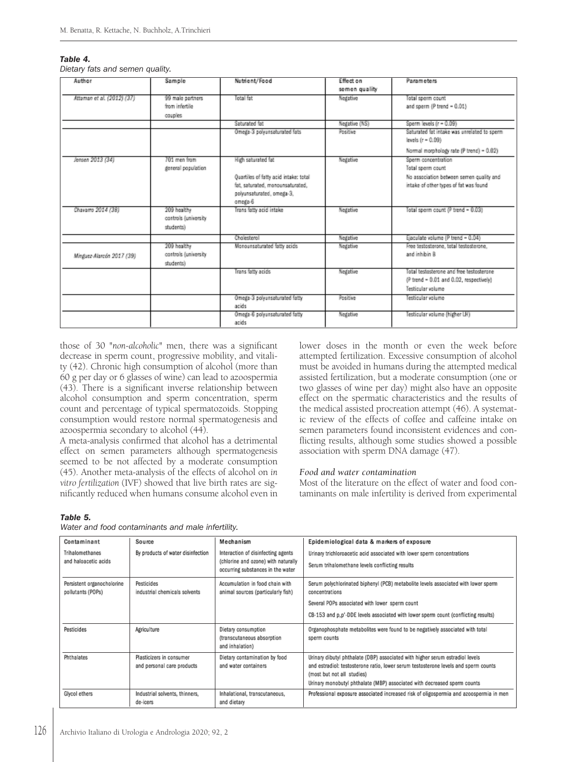#### Table 4.

Dietary fats and semen quality.

| Author                     | Sample                                           | Nutrient/Food                                                                                                                           | Effect on<br>semen quality | <b>Parameters</b>                                                                                                              |
|----------------------------|--------------------------------------------------|-----------------------------------------------------------------------------------------------------------------------------------------|----------------------------|--------------------------------------------------------------------------------------------------------------------------------|
| Attaman et al. (2012) (37) | 99 male partners<br>from infertile<br>couples    | Total fat                                                                                                                               | Negative                   | Total sperm count<br>and sperm (P trend = 0.01)                                                                                |
|                            |                                                  | Saturated fat                                                                                                                           | Negative (NS)              | Sperm levels (r = 0.09)                                                                                                        |
|                            |                                                  | Omega-3 polyunsaturated fats                                                                                                            | Positive                   | Saturated fat intake was unrelated to sperm<br>levels (r = 0.09)                                                               |
|                            |                                                  |                                                                                                                                         |                            | Normal morphology rate (P trend) = 0.02)                                                                                       |
| Jensen 2013 (34)           | 701 men from<br>general population               | High saturated fat<br>Quartiles of fatty acid intake: total<br>fat, saturated, monounsaturated,<br>polyunsaturated, omega-3,<br>omega 6 | Negative                   | Sperm concentration<br>Total sperm count<br>No association between semen quality and<br>intake of other types of fat was found |
| Chavamo 2014 (38)          | 209 healthy<br>controls (university<br>students) | Trans fatty acid intake                                                                                                                 | Negative                   | Total sperm count (P trend = 0.03)                                                                                             |
|                            |                                                  | Chairsteal                                                                                                                              | Negative                   | Ejaculate volume (P trend = 0.04)                                                                                              |
| Minguez-Alarcón 2017 (39)  | 209 healthy<br>controls (university<br>students) | Monounsaturated fatty acids                                                                                                             | Negative                   | Free testosterone, total testosterone.<br>and inhibin B                                                                        |
|                            |                                                  | Trans fatty acids                                                                                                                       | Negative                   | Total testosterone and free testosterone<br>(P trend - 0.01 and 0.02, respectively)<br>Testicular volume                       |
|                            |                                                  | Omega-3 polyunsaturated fatty<br>acids                                                                                                  | Positive                   | Testicular volume                                                                                                              |
|                            |                                                  | Omega-6 polyunsaturated fatty<br>acids                                                                                                  | Negative                   | Testicular volume (higher LH)                                                                                                  |

those of 30 "*non-alcoholic*" men, there was a significant decrease in sperm count, progressive mobility, and vitality (42). Chronic high consumption of alcohol (more than 60 g per day or 6 glasses of wine) can lead to azoospermia (43). There is a significant inverse relationship between alcohol consumption and sperm concentration, sperm count and percentage of typical spermatozoids. Stopping consumption would restore normal spermatogenesis and azoospermia secondary to alcohol (44).

A meta-analysis confirmed that alcohol has a detrimental effect on semen parameters although spermatogenesis seemed to be not affected by a moderate consumption (45). Another meta-analysis of the effects of alcohol on *in vitro fertilization* (IVF) showed that live birth rates are significantly reduced when humans consume alcohol even in

lower doses in the month or even the week before attempted fertilization. Excessive consumption of alcohol must be avoided in humans during the attempted medical assisted fertilization, but a moderate consumption (one or two glasses of wine per day) might also have an opposite effect on the spermatic characteristics and the results of the medical assisted procreation attempt (46). A systematic review of the effects of coffee and caffeine intake on semen parameters found inconsistent evidences and conflicting results, although some studies showed a possible association with sperm DNA damage (47).

#### *Food and water contamination*

Most of the literature on the effect of water and food contaminants on male infertility is derived from experimental

#### Table 5.

Water and food contaminants and male infertility.

| Contaminant                                     | Source                                                 | Mechanism                                                                                                      | Epidemiological data & markers of exposure                                                                                                                                                                                                                                     |
|-------------------------------------------------|--------------------------------------------------------|----------------------------------------------------------------------------------------------------------------|--------------------------------------------------------------------------------------------------------------------------------------------------------------------------------------------------------------------------------------------------------------------------------|
| Trihalomethanes<br>and haloacetic acids         | By products of water disinfection                      | Interaction of disinfecting agents<br>(chlorine and ozone) with naturally<br>occurring substances in the water | Urinary trichloroacetic acid associated with lower sperm concentrations<br>Serum trihalomethane levels conflicting results                                                                                                                                                     |
| Persistent organocholorine<br>pollutants (POPs) | Pesticides<br>industrial chemicals solvents            | Accumulation in food chain with<br>animal sources (particularly fish)                                          | Serum polychlorinated biphenyl (PCB) metabolite levels associated with lower sperm<br>concentrations<br>Several POPs associated with lower sperm count                                                                                                                         |
|                                                 |                                                        |                                                                                                                | CB-153 and p,p'-DDE levels associated with lower sperm count (conflicting results)                                                                                                                                                                                             |
| Pesticides                                      | Agriculture                                            | Dietary consumption<br>(transcutaneous absorption<br>and inhalation)                                           | Organophosphate metabolites were found to be negatively associated with total<br>sperm counts                                                                                                                                                                                  |
| Phthalates                                      | Plasticizers in consumer<br>and personal care products | Dietary contamination by food<br>and water containers                                                          | Urinary dibutyl phthalate (DBP) associated with higher serum estradiol levels<br>and estradiol: testosterone ratio, lower serum testosterone levels and sperm counts<br>(most but not all studies)<br>Urinary monobutyl phthalate (MBP) associated with decreased sperm counts |
| Glycol ethers                                   | Industrial solvents, thinners,<br>de-icers             | Inhalational, transcutaneous,<br>and dietary                                                                   | Professional exposure associated increased risk of oligospermia and azoospermia in men                                                                                                                                                                                         |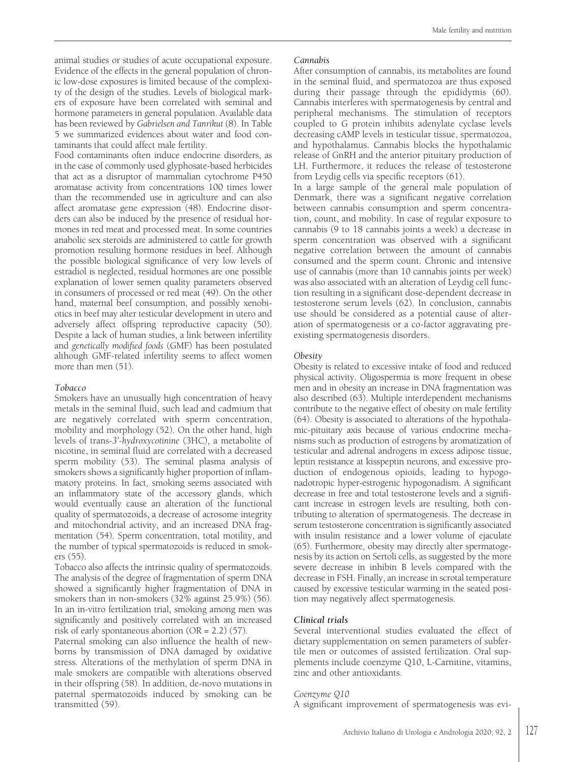animal studies or studies of acute occupational exposure. Evidence of the effects in the general population of chronic low-dose exposures is limited because of the complexity of the design of the studies. Levels of biological markers of exposure have been correlated with seminal and hormone parameters in general population. Available data has been reviewed by *Gabrielsen and Tanrikut* (8). In Table 5 we summarized evidences about water and food contaminants that could affect male fertility.

Food contaminants often induce endocrine disorders, as in the case of commonly used glyphosate-based herbicides that act as a disruptor of mammalian cytochrome P450 aromatase activity from concentrations 100 times lower than the recommended use in agriculture and can also affect aromatase gene expression (48). Endocrine disorders can also be induced by the presence of residual hormones in red meat and processed meat. In some countries anabolic sex steroids are administered to cattle for growth promotion resulting hormone residues in beef. Although the possible biological significance of very low levels of estradiol is neglected, residual hormones are one possible explanation of lower semen quality parameters observed in consumers of processed or red meat (49). On the other hand, maternal beef consumption, and possibly xenobiotics in beef may alter testicular development in utero and adversely affect offspring reproductive capacity (50). Despite a lack of human studies, a link between infertility and *genetically modified foods* (GMF) has been postulated although GMF-related infertility seems to affect women more than men (51).

# *Tobacco*

Smokers have an unusually high concentration of heavy metals in the seminal fluid, such lead and cadmium that are negatively correlated with sperm concentration, mobility and morphology (52). On the other hand, high levels of trans-*3'-hydroxycotinine* (3HC), a metabolite of nicotine, in seminal fluid are correlated with a decreased sperm mobility (53). The seminal plasma analysis of smokers shows a significantly higher proportion of inflammatory proteins. In fact, smoking seems associated with an inflammatory state of the accessory glands, which would eventually cause an alteration of the functional quality of spermatozoids, a decrease of acrosome integrity and mitochondrial activity, and an increased DNA fragmentation (54). Sperm concentration, total motility, and the number of typical spermatozoids is reduced in smokers (55).

Tobacco also affects the intrinsic quality of spermatozoids. The analysis of the degree of fragmentation of sperm DNA showed a significantly higher fragmentation of DNA in smokers than in non-smokers (32% against 25.9%) (56). In an in-vitro fertilization trial, smoking among men was significantly and positively correlated with an increased risk of early spontaneous abortion (OR = 2.2) (57).

Paternal smoking can also influence the health of newborns by transmission of DNA damaged by oxidative stress. Alterations of the methylation of sperm DNA in male smokers are compatible with alterations observed in their offspring (58). In addition, de-novo mutations in paternal spermatozoids induced by smoking can be transmitted (59).

# *Cannabis*

After consumption of cannabis, its metabolites are found in the seminal fluid, and spermatozoa are thus exposed during their passage through the epididymis (60). Cannabis interferes with spermatogenesis by central and peripheral mechanisms. The stimulation of receptors coupled to G protein inhibits adenylate cyclase levels decreasing cAMP levels in testicular tissue, spermatozoa, and hypothalamus. Cannabis blocks the hypothalamic release of GnRH and the anterior pituitary production of LH. Furthermore, it reduces the release of testosterone from Leydig cells via specific receptors (61).

In a large sample of the general male population of Denmark, there was a significant negative correlation between cannabis consumption and sperm concentration, count, and mobility. In case of regular exposure to cannabis (9 to 18 cannabis joints a week) a decrease in sperm concentration was observed with a significant negative correlation between the amount of cannabis consumed and the sperm count. Chronic and intensive use of cannabis (more than 10 cannabis joints per week) was also associated with an alteration of Leydig cell function resulting in a significant dose-dependent decrease in testosterone serum levels (62). In conclusion, cannabis use should be considered as a potential cause of alteration of spermatogenesis or a co-factor aggravating preexisting spermatogenesis disorders.

# *Obesity*

Obesity is related to excessive intake of food and reduced physical activity. Oligospermia is more frequent in obese men and in obesity an increase in DNA fragmentation was also described (63). Multiple interdependent mechanisms contribute to the negative effect of obesity on male fertility (64). Obesity is associated to alterations of the hypothalamic-pituitary axis because of various endocrine mechanisms such as production of estrogens by aromatization of testicular and adrenal androgens in excess adipose tissue, leptin resistance at kisspeptin neurons, and excessive production of endogenous opioids, leading to hypogonadotropic hyper-estrogenic hypogonadism. A significant decrease in free and total testosterone levels and a significant increase in estrogen levels are resulting, both contributing to alteration of spermatogenesis. The decrease in serum testosterone concentration is significantly associated with insulin resistance and a lower volume of ejaculate (65). Furthermore, obesity may directly alter spermatogenesis by its action on Sertoli cells, as suggested by the more severe decrease in inhibin B levels compared with the decrease in FSH. Finally, an increase in scrotal temperature caused by excessive testicular warming in the seated position may negatively affect spermatogenesis.

# *Clinical trials*

Several interventional studies evaluated the effect of dietary supplementation on semen parameters of subfertile men or outcomes of assisted fertilization. Oral supplements include coenzyme Q10, L-Carnitine, vitamins, zinc and other antioxidants.

# *Coenzyme Q10*

A significant improvement of spermatogenesis was evi-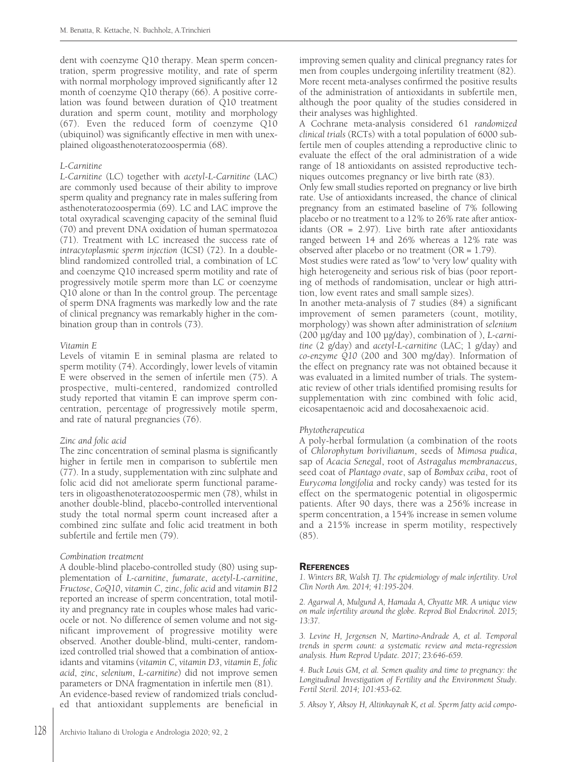dent with coenzyme Q10 therapy. Mean sperm concentration, sperm progressive motility, and rate of sperm with normal morphology improved significantly after 12 month of coenzyme Q10 therapy (66). A positive correlation was found between duration of Q10 treatment duration and sperm count, motility and morphology (67). Even the reduced form of coenzyme Q10 (ubiquinol) was significantly effective in men with unexplained oligoasthenoteratozoospermia (68).

#### *L-Carnitine*

*L-Carnitine* (LC) together with *acetyl-L-Carnitine* (LAC) are commonly used because of their ability to improve sperm quality and pregnancy rate in males suffering from asthenoteratozoospermia (69). LC and LAC improve the total oxyradical scavenging capacity of the seminal fluid (70) and prevent DNA oxidation of human spermatozoa (71). Treatment with LC increased the success rate of *intracytoplasmic sperm injection* (ICSI) (72). In a doubleblind randomized controlled trial, a combination of LC and coenzyme Q10 increased sperm motility and rate of progressively motile sperm more than LC or coenzyme Q10 alone or than In the control group. The percentage of sperm DNA fragments was markedly low and the rate of clinical pregnancy was remarkably higher in the combination group than in controls (73).

#### *Vitamin E*

Levels of vitamin E in seminal plasma are related to sperm motility (74). Accordingly, lower levels of vitamin E were observed in the semen of infertile men (75). A prospective, multi-centered, randomized controlled study reported that vitamin E can improve sperm concentration, percentage of progressively motile sperm, and rate of natural pregnancies (76).

# *Zinc and folic acid*

The zinc concentration of seminal plasma is significantly higher in fertile men in comparison to subfertile men (77). In a study, supplementation with zinc sulphate and folic acid did not ameliorate sperm functional parameters in oligoasthenoteratozoospermic men (78), whilst in another double-blind, placebo-controlled interventional study the total normal sperm count increased after a combined zinc sulfate and folic acid treatment in both subfertile and fertile men (79).

# *Combination treatment*

A double-blind placebo-controlled study (80) using supplementation of *L-carnitine*, *fumarate*, *acetyl-L-carnitine*, *Fructose*, *CoQ10*, *vitamin C*, *zinc*, *folic acid* and *vitamin B12* reported an increase of sperm concentration, total motility and pregnancy rate in couples whose males had varicocele or not. No difference of semen volume and not significant improvement of progressive motility were observed. Another double-blind, multi-center, randomized controlled trial showed that a combination of antioxidants and vitamins (*vitamin C*, *vitamin D3*, *vitamin E*, *folic acid*, *zinc*, *selenium*, *L-carnitine*) did not improve semen parameters or DNA fragmentation in infertile men (81). An evidence-based review of randomized trials concluded that antioxidant supplements are beneficial in

improving semen quality and clinical pregnancy rates for men from couples undergoing infertility treatment (82). More recent meta-analyses confirmed the positive results of the administration of antioxidants in subfertile men, although the poor quality of the studies considered in their analyses was highlighted.

A Cochrane meta-analysis considered 61 *randomized clinical trials* (RCTs) with a total population of 6000 subfertile men of couples attending a reproductive clinic to evaluate the effect of the oral administration of a wide range of 18 antioxidants on assisted reproductive techniques outcomes pregnancy or live birth rate (83).

Only few small studies reported on pregnancy or live birth rate. Use of antioxidants increased, the chance of clinical pregnancy from an estimated baseline of 7% following placebo or no treatment to a 12% to 26% rate after antioxidants ( $OR = 2.97$ ). Live birth rate after antioxidants ranged between 14 and 26% whereas a 12% rate was observed after placebo or no treatment (OR = 1.79).

Most studies were rated as 'low' to 'very low' quality with high heterogeneity and serious risk of bias (poor reporting of methods of randomisation, unclear or high attrition, low event rates and small sample sizes).

In another meta-analysis of 7 studies (84) a significant improvement of semen parameters (count, motility, morphology) was shown after administration of *selenium* (200 µg/day and 100 µg/day), combination of ), *L-carnitine* (2 g/day) and *acetyl-L-carnitine* (LAC; 1 g/day) and *co-enzyme Q10* (200 and 300 mg/day). Information of the effect on pregnancy rate was not obtained because it was evaluated in a limited number of trials. The systematic review of other trials identified promising results for supplementation with zinc combined with folic acid, eicosapentaenoic acid and docosahexaenoic acid.

# *Phytotherapeutica*

A poly-herbal formulation (a combination of the roots of *Chlorophytum borivilianum*, seeds of *Mimosa pudica*, sap of *Acacia Senegal*, root of *Astragalus membranaceus*, seed coat of *Plantago ovate*, sap of *Bombax ceiba*, root of *Eurycoma longifolia* and rocky candy) was tested for its effect on the spermatogenic potential in oligospermic patients. After 90 days, there was a 256% increase in sperm concentration, a 154% increase in semen volume and a 215% increase in sperm motility, respectively (85).

# **REFERENCES**

*1. Winters BR, Walsh TJ. The epidemiology of male infertility. Urol Clin North Am. 2014; 41:195-204.*

*2. Agarwal A, Mulgund A, Hamada A, Chyatte MR. A unique view on male infertility around the globe. Reprod Biol Endocrinol. 2015; 13:37.*

*3. Levine H, Jergensen N, Martino-Andrade A, et al. Temporal trends in sperm count: a systematic review and meta-regression analysis. Hum Reprod Update. 2017; 23:646-659.*

*4. Buck Louis GM, et al. Semen quality and time to pregnancy: the Longitudinal Investigation of Fertility and the Environment Study. Fertil Steril. 2014; 101:453-62.*

*5. Aksoy Y, Aksoy H, Altinkaynak K, et al. Sperm fatty acid compo-*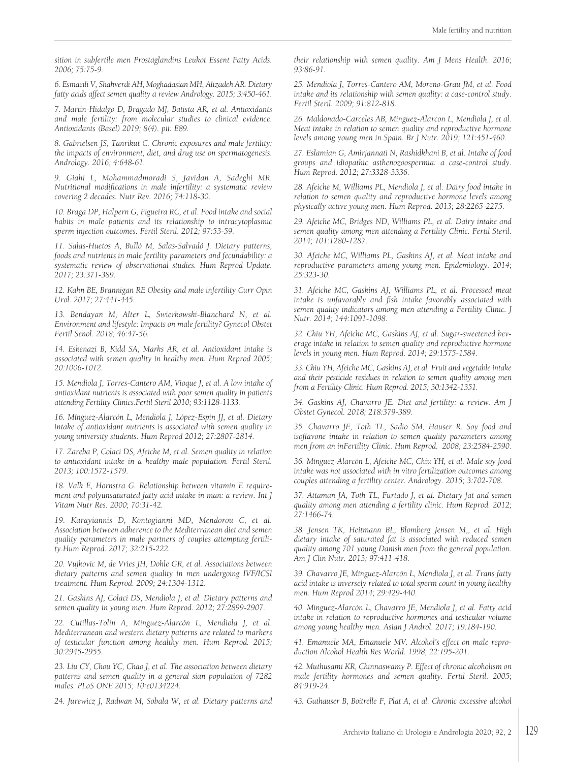*sition in subfertile men Prostaglandins Leukot Essent Fatty Acids. 2006; 75:75-9.*

*6. Esmaeili V, Shahverdi AH, Moghadasian MH, Alizadeh AR. Dietary fatty acids affect semen quality a review Andrology. 2015; 3:450-461.*

*7. Martin-Hidalgo D, Bragado MJ, Batista AR, et al. Antioxidants and male fertility: from molecular studies to clinical evidence. Antioxidants (Basel) 2019; 8(4). pii: E89.*

*8. Gabrielsen JS, Tanrikut C. Chronic exposures and male fertility: the impacts of environment, diet, and drug use on spermatogenesis. Andrology. 2016; 4:648-61.*

*9. Giahi L, Mohammadmoradi S, Javidan A, Sadeghi MR. Nutritional modifications in male infertility: a systematic review covering 2 decades. Nutr Rev. 2016; 74:118-30.*

*10. Braga DP, Halpern G, Figueira RC, et al. Food intake and social habits in male patients and its relationship to intracytoplasmic sperm injection outcomes. Fertil Steril. 2012; 97:53-59.*

*11. Salas-Huetos A, Bulló M, Salas-Salvadó J. Dietary patterns, foods and nutrients in male fertility parameters and fecundability: a systematic review of observational studies. Hum Reprod Update. 2017; 23:371-389.*

*12. Kahn BE, Brannigan RE Obesity and male infertility Curr Opin Urol. 2017; 27:441-445.*

*13. Bendayan M, Alter L, Swierkowski-Blanchard N, et al. Environment and lifestyle: Impacts on male fertility? Gynecol Obstet Fertil Senol. 2018; 46:47-56.*

*14. Eskenazi B, Kidd SA, Marks AR, et al. Antioxidant intake is associated with semen quality in healthy men. Hum Reprod 2005; 20:1006-1012.*

*15. Mendiola J, Torres-Cantero AM, Vioque J, et al. A low intake of antioxidant nutrients is associated with poor semen quality in patients attending Fertility Clinics.Fertil Steril 2010; 93:1128-1133.*

*16. Mínguez-Alarcón L, Mendiola J, López-Espín JJ, et al. Dietary intake of antioxidant nutrients is associated with semen quality in young university students. Hum Reprod 2012; 27:2807-2814.*

*17. Zareba P, Colaci DS, Afeiche M, et al. Semen quality in relation to antioxidant intake in a healthy male population. Fertil Steril. 2013; 100:1572-1579.*

*18. Valk E, Hornstra G. Relationship between vitamin E requirement and polyunsaturated fatty acid intake in man: a review. Int J Vitam Nutr Res. 2000; 70:31-42.*

*19. Karayiannis D, Kontogianni MD, Mendorou C, et al. Association between adherence to the Mediterranean diet and semen quality parameters in male partners of couples attempting fertility.Hum Reprod. 2017; 32:215-222.*

*20. Vujkovic M, de Vries JH, Dohle GR, et al. Associations between dietary patterns and semen quality in men undergoing IVF/ICSI treatment. Hum Reprod. 2009; 24:1304-1312.*

*21. Gaskins AJ, Colaci DS, Mendiola J, et al. Dietary patterns and semen quality in young men. Hum Reprod. 2012; 27:2899-2907.*

*22. Cutillas-Tolín A, Mínguez-Alarcón L, Mendiola J, et al. Mediterranean and western dietary patterns are related to markers of testicular function among healthy men. Hum Reprod. 2015; 30:2945-2955.*

*23. Liu CY, Chou YC, Chao J, et al. The association between dietary patterns and semen quality in a general sian population of 7282 males. PLoS ONE 2015; 10:e0134224.*

*24. Jurewicz J, Radwan M, Sobala W, et al. Dietary patterns and*

*their relationship with semen quality. Am J Mens Health. 2016; 93:86-91.*

*25. Mendiola J, Torres-Cantero AM, Moreno-Grau JM, et al. Food intake and its relationship with semen quality: a case-control study. Fertil Steril. 2009; 91:812-818.*

*26. Maldonado-Carceles AB, Minguez-Alarcon L, Mendiola J, et al. Meat intake in relation to semen quality and reproductive hormone levels among young men in Spain. Br J Nutr. 2019; 121:451-460.*

*27. Eslamian G, Amirjannati N, Rashidkhani B, et al. Intake of food groups and idiopathic asthenozoospermia: a case-control study. Hum Reprod. 2012; 27:3328-3336.*

*28. Afeiche M, Williams PL, Mendiola J, et al. Dairy food intake in relation to semen quality and reproductive hormone levels among physically active young men. Hum Reprod. 2013; 28:2265-2275.*

*29. Afeiche MC, Bridges ND, Williams PL, et al. Dairy intake and semen quality among men attending a Fertility Clinic. Fertil Steril. 2014; 101:1280-1287.*

*30. Afeiche MC, Williams PL, Gaskins AJ, et al. Meat intake and reproductive parameters among young men. Epidemiology. 2014; 25:323-30.*

*31. Afeiche MC, Gaskins AJ, Williams PL, et al. Processed meat intake is unfavorably and fish intake favorably associated with semen quality indicators among men attending a Fertility Clinic. J Nutr. 2014; 144:1091-1098.*

*32. Chiu YH, Afeiche MC, Gaskins AJ, et al. Sugar-sweetened beverage intake in relation to semen quality and reproductive hormone levels in young men. Hum Reprod. 2014; 29:1575-1584.*

*33. Chiu YH, Afeiche MC, Gaskins AJ,et al. Fruit and vegetableintake and their pesticide residues in relation to semen quality among men from a Fertility Clinic. Hum Reprod. 2015; 30:1342-1351.*

*34. Gaskins AJ, Chavarro JE. Diet and fertility: a review. Am J Obstet Gynecol. 2018; 218:379-389.*

*35. Chavarro JE, Toth TL, Sadio SM, Hauser R. Soy food and isoflavone intake in relation to semen quality parameters among men from an inFertility Clinic. Hum Reprod. 2008; 23:2584-2590.*

*36. Mínguez-Alarcón L, Afeiche MC, Chiu YH, et al. Male soy food intake was not associated with in vitro fertilization outcomes among couples attending a fertility center. Andrology. 2015; 3:702-708.*

*37. Attaman JA, Toth TL, Furtado J, et al. Dietary fat and semen quality among men attending a fertility clinic. Hum Reprod. 2012; 27:1466-74.*

*38. Jensen TK, Heitmann BL, Blomberg Jensen M,, et al. High dietary intake of saturated fat is associated with reduced semen quality among 701 young Danish men from the general population. Am J Clin Nutr. 2013; 97:411-418.*

*39. Chavarro JE, Mínguez-Alarcón L, Mendiola J, et al. Trans fatty acid intake is inversely related to total sperm count in young healthy men. Hum Reprod 2014; 29:429-440.*

*40. Minguez-Alarcón L, Chavarro JE, Mendiola J, et al. Fatty acid intake in relation to reproductive hormones and testicular volume among young healthy men. Asian J Androl. 2017; 19:184-190.*

*41. Emanuele MA, Emanuele MV. Alcohol's effect on male reproduction Alcohol Health Res World. 1998; 22:195-201.*

*42. Muthusami KR, Chinnaswamy P. Effect of chronic alcoholism on male fertility hormones and semen quality. Fertil Steril. 2005; 84:919-24.*

*43. Guthauser B, Boitrelle F, Plat A, et al. Chronic excessive alcohol*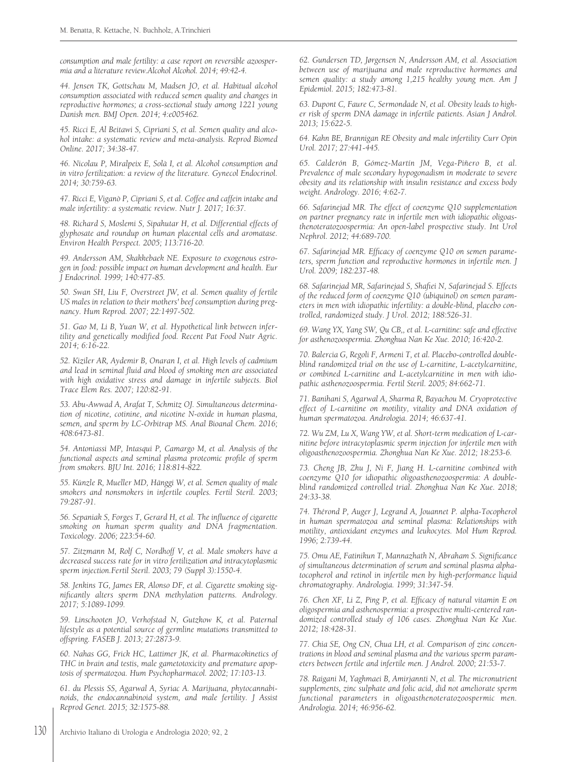*consumption and male fertility: a case report on reversible azoospermia and a literature review.Alcohol Alcohol. 2014; 49:42-4.*

*44. Jensen TK, Gottschau M, Madsen JO, et al. Habitual alcohol consumption associated with reduced semen quality and changes in reproductive hormones; a cross-sectional study among 1221 young Danish men. BMJ Open. 2014; 4:e005462.*

*45. Ricci E, Al Beitawi S, Cipriani S, et al. Semen quality and alcohol intake: a systematic review and meta-analysis. Reprod Biomed Online. 2017; 34:38-47.*

*46. Nicolau P, Miralpeix E, Solà I, et al. Alcohol consumption and in vitro fertilization: a review of the literature. Gynecol Endocrinol. 2014; 30:759-63.*

*47. Ricci E, Viganò P, Cipriani S, et al. Coffee and caffein intake and male infertility: a systematic review. Nutr J. 2017; 16:37.*

*48. Richard S, Moslemi S, Sipahutar H, et al. Differential effects of glyphosate and roundup on human placental cells and aromatase. Environ Health Perspect. 2005; 113:716-20.*

*49. Andersson AM, Skakkebaek NE. Exposure to exogenous estrogen in food: possible impact on human development and health. Eur J Endocrinol. 1999; 140:477-85.*

*50. Swan SH, Liu F, Overstreet JW, et al. Semen quality of fertile US males in relation to their mothers' beef consumption during pregnancy. Hum Reprod. 2007; 22:1497-502.*

*51. Gao M, Li B, Yuan W, et al. Hypothetical link between infertility and genetically modified food. Recent Pat Food Nutr Agric. 2014; 6:16-22.*

*52. Kiziler AR, Aydemir B, Onaran I, et al. High levels of cadmium and lead in seminal fluid and blood of smoking men are associated with high oxidative stress and damage in infertile subjects. Biol Trace Elem Res. 2007; 120:82-91.*

*53. Abu-Awwad A, Arafat T, Schmitz OJ. Simultaneous determination of nicotine, cotinine, and nicotine N-oxide in human plasma, semen, and sperm by LC-Orbitrap MS. Anal Bioanal Chem. 2016; 408:6473-81.*

*54. Antoniassi MP, Intasqui P, Camargo M, et al. Analysis of the functional aspects and seminal plasma proteomic profile of sperm from smokers. BJU Int. 2016; 118:814-822.*

*55. Künzle R, Mueller MD, Hänggi W, et al. Semen quality of male smokers and nonsmokers in infertile couples. Fertil Steril. 2003; 79:287-91.*

*56. Sepaniak S, Forges T, Gerard H, et al. The influence of cigarette smoking on human sperm quality and DNA fragmentation. Toxicology. 2006; 223:54-60.*

*57. Zitzmann M, Rolf C, Nordhoff V, et al. Male smokers have a decreased success rate for in vitro fertilization and intracytoplasmic sperm injection.Fertil Steril. 2003; 79 (Suppl 3):1550-4.*

*58. Jenkins TG, James ER, Alonso DF, et al. Cigarette smoking significantly alters sperm DNA methylation patterns. Andrology. 2017; 5:1089-1099.*

*59. Linschooten JO, Verhofstad N, Gutzkow K, et al. Paternal lifestyle as a potential source of germline mutations transmitted to offspring. FASEB J. 2013; 27:2873-9.*

*60. Nahas GG, Frick HC, Lattimer JK, et al. Pharmacokinetics of THC in brain and testis, male gametotoxicity and premature apoptosis of spermatozoa. Hum Psychopharmacol. 2002; 17:103-13.*

*61. du Plessis SS, Agarwal A, Syriac A. Marijuana, phytocannabinoids, the endocannabinoid system, and male fertility. J Assist Reprod Genet. 2015; 32:1575-88.*

*62. Gundersen TD, Jørgensen N, Andersson AM, et al. Association between use of marijuana and male reproductive hormones and semen quality: a study among 1,215 healthy young men. Am J Epidemiol. 2015; 182:473-81.*

*63. Dupont C, Faure C, Sermondade N, et al. Obesity leads to higher risk of sperm DNA damage in infertile patients. Asian J Androl. 2013; 15:622-5.*

*64. Kahn BE, Brannigan RE Obesity and male infertility Curr Opin Urol. 2017; 27:441-445.*

*65. Calderón B, Gómez-Martín JM, Vega-Piñero B, et al. Prevalence of male secondary hypogonadism in moderate to severe obesity and its relationship with insulin resistance and excess body weight. Andrology. 2016; 4:62-7.*

*66. Safarinejad MR. The effect of coenzyme Q10 supplementation on partner pregnancy rate in infertile men with idiopathic oligoasthenoteratozoospermia: An open-label prospective study. Int Urol Nephrol. 2012; 44:689-700.*

*67. Safarinejad MR. Efficacy of coenzyme Q10 on semen parameters, sperm function and reproductive hormones in infertile men. J Urol. 2009; 182:237-48.*

*68. Safarinejad MR, Safarinejad S, Shafiei N, Safarinejad S. Effects of the reduced form of coenzyme Q10 (ubiquinol) on semen parameters in men with idiopathic infertility: a double-blind, placebo controlled, randomized study. J Urol. 2012; 188:526-31.*

*69. Wang YX, Yang SW, Qu CB,, et al. L-carnitine: safe and effective for asthenozoospermia. Zhonghua Nan Ke Xue. 2010; 16:420-2.*

*70. Balercia G, Regoli F, Armeni T, et al. Placebo-controlled doubleblind randomized trial on the use of L-carnitine, L-acetylcarnitine, or combined L-carnitine and L-acetylcarnitine in men with idiopathic asthenozoospermia. Fertil Steril. 2005; 84:662-71.*

*71. Banihani S, Agarwal A, Sharma R, Bayachou M. Cryoprotective effect of L-carnitine on motility, vitality and DNA oxidation of human spermatozoa. Andrologia. 2014; 46:637-41.*

*72. Wu ZM, Lu X, Wang YW, et al. Short-term medication of L-carnitine before intracytoplasmic sperm injection for infertile men with oligoasthenozoospermia. Zhonghua Nan Ke Xue. 2012; 18:253-6.*

*73. Cheng JB, Zhu J, Ni F, Jiang H. L-carnitine combined with coenzyme Q10 for idiopathic oligoasthenozoospermia: A doubleblind randomized controlled trial. Zhonghua Nan Ke Xue. 2018; 24:33-38.*

*74. Thérond P, Auger J, Legrand A, Jouannet P. alpha-Tocopherol in human spermatozoa and seminal plasma: Relationships with motility, antioxidant enzymes and leukocytes. Mol Hum Reprod. 1996; 2:739-44.*

*75. Omu AE, Fatinikun T, Mannazhath N, Abraham S. Significance of simultaneous determination of serum and seminal plasma alphatocopherol and retinol in infertile men by high-performance liquid chromatography. Andrologia. 1999; 31:347-54.*

*76. Chen XF, Li Z, Ping P, et al. Efficacy of natural vitamin E on oligospermia and asthenospermia: a prospective multi-centered randomized controlled study of 106 cases. Zhonghua Nan Ke Xue. 2012; 18:428-31.*

*77. Chia SE, Ong CN, Chua LH, et al. Comparison of zinc concentrations in blood and seminal plasma and the various sperm parameters between fertile and infertile men. J Androl. 2000; 21:53-7.*

*78. Raigani M, Yaghmaei B, Amirjannti N, et al. The micronutrient supplements, zinc sulphate and folic acid, did not ameliorate sperm functional parameters in oligoasthenoteratozoospermic men. Andrologia. 2014; 46:956-62.*